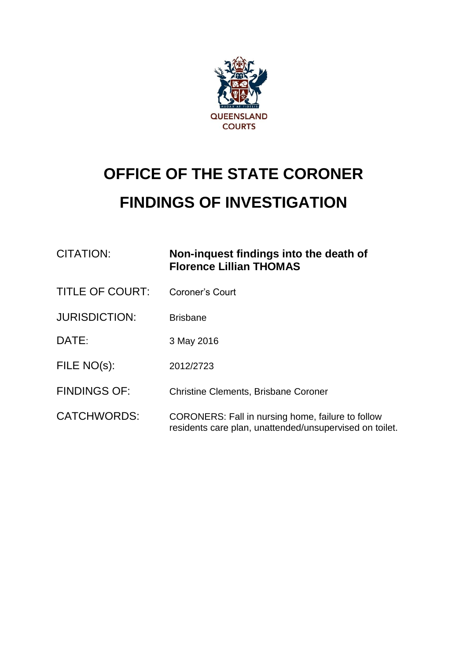

# **OFFICE OF THE STATE CORONER FINDINGS OF INVESTIGATION**

| <b>CITATION:</b>       | Non-inquest findings into the death of<br><b>Florence Lillian THOMAS</b>                                            |
|------------------------|---------------------------------------------------------------------------------------------------------------------|
| <b>TITLE OF COURT:</b> | Coroner's Court                                                                                                     |
| <b>JURISDICTION:</b>   | <b>Brisbane</b>                                                                                                     |
| DATE:                  | 3 May 2016                                                                                                          |
| FILE NO(s):            | 2012/2723                                                                                                           |
| <b>FINDINGS OF:</b>    | <b>Christine Clements, Brisbane Coroner</b>                                                                         |
| <b>CATCHWORDS:</b>     | <b>CORONERS:</b> Fall in nursing home, failure to follow<br>residents care plan, unattended/unsupervised on toilet. |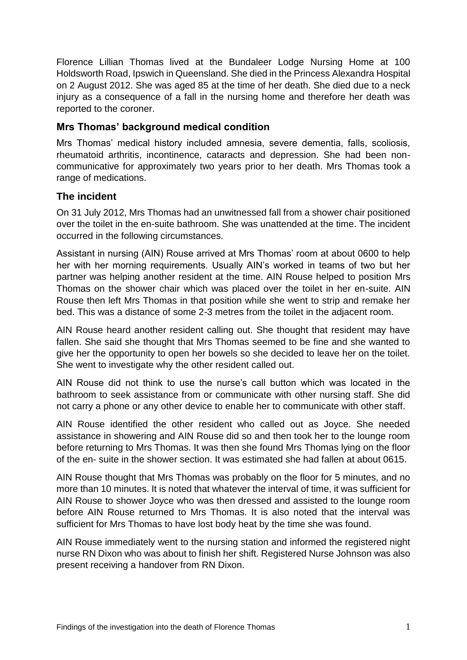Florence Lillian Thomas lived at the Bundaleer Lodge Nursing Home at 100 Holdsworth Road, Ipswich in Queensland. She died in the Princess Alexandra Hospital on 2 August 2012. She was aged 85 at the time of her death. She died due to a neck injury as a consequence of a fall in the nursing home and therefore her death was reported to the coroner.

## **Mrs Thomas' background medical condition**

Mrs Thomas' medical history included amnesia, severe dementia, falls, scoliosis, rheumatoid arthritis, incontinence, cataracts and depression. She had been noncommunicative for approximately two years prior to her death. Mrs Thomas took a range of medications.

#### **The incident**

On 31 July 2012, Mrs Thomas had an unwitnessed fall from a shower chair positioned over the toilet in the en-suite bathroom. She was unattended at the time. The incident occurred in the following circumstances.

Assistant in nursing (AIN) Rouse arrived at Mrs Thomas' room at about 0600 to help her with her morning requirements. Usually AIN's worked in teams of two but her partner was helping another resident at the time. AIN Rouse helped to position Mrs Thomas on the shower chair which was placed over the toilet in her en-suite. AIN Rouse then left Mrs Thomas in that position while she went to strip and remake her bed. This was a distance of some 2-3 metres from the toilet in the adjacent room.

AIN Rouse heard another resident calling out. She thought that resident may have fallen. She said she thought that Mrs Thomas seemed to be fine and she wanted to give her the opportunity to open her bowels so she decided to leave her on the toilet. She went to investigate why the other resident called out.

AIN Rouse did not think to use the nurse's call button which was located in the bathroom to seek assistance from or communicate with other nursing staff. She did not carry a phone or any other device to enable her to communicate with other staff.

AIN Rouse identified the other resident who called out as Joyce. She needed assistance in showering and AIN Rouse did so and then took her to the lounge room before returning to Mrs Thomas. It was then she found Mrs Thomas lying on the floor of the en- suite in the shower section. It was estimated she had fallen at about 0615.

AIN Rouse thought that Mrs Thomas was probably on the floor for 5 minutes, and no more than 10 minutes. It is noted that whatever the interval of time, it was sufficient for AIN Rouse to shower Joyce who was then dressed and assisted to the lounge room before AIN Rouse returned to Mrs Thomas. It is also noted that the interval was sufficient for Mrs Thomas to have lost body heat by the time she was found.

AIN Rouse immediately went to the nursing station and informed the registered night nurse RN Dixon who was about to finish her shift. Registered Nurse Johnson was also present receiving a handover from RN Dixon.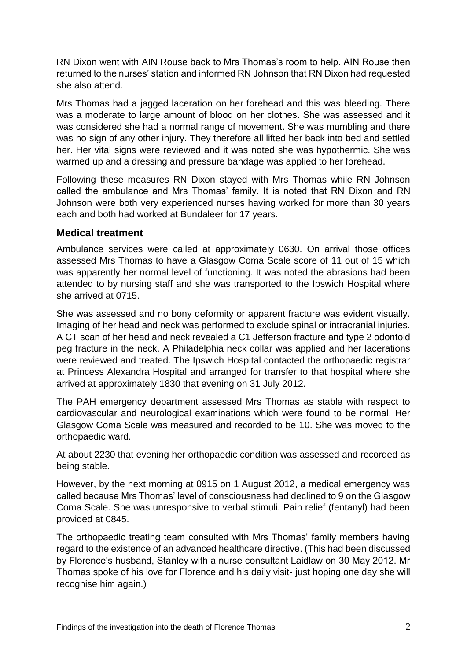RN Dixon went with AIN Rouse back to Mrs Thomas's room to help. AIN Rouse then returned to the nurses' station and informed RN Johnson that RN Dixon had requested she also attend.

Mrs Thomas had a jagged laceration on her forehead and this was bleeding. There was a moderate to large amount of blood on her clothes. She was assessed and it was considered she had a normal range of movement. She was mumbling and there was no sign of any other injury. They therefore all lifted her back into bed and settled her. Her vital signs were reviewed and it was noted she was hypothermic. She was warmed up and a dressing and pressure bandage was applied to her forehead.

Following these measures RN Dixon stayed with Mrs Thomas while RN Johnson called the ambulance and Mrs Thomas' family. It is noted that RN Dixon and RN Johnson were both very experienced nurses having worked for more than 30 years each and both had worked at Bundaleer for 17 years.

#### **Medical treatment**

Ambulance services were called at approximately 0630. On arrival those offices assessed Mrs Thomas to have a Glasgow Coma Scale score of 11 out of 15 which was apparently her normal level of functioning. It was noted the abrasions had been attended to by nursing staff and she was transported to the Ipswich Hospital where she arrived at 0715.

She was assessed and no bony deformity or apparent fracture was evident visually. Imaging of her head and neck was performed to exclude spinal or intracranial injuries. A CT scan of her head and neck revealed a C1 Jefferson fracture and type 2 odontoid peg fracture in the neck. A Philadelphia neck collar was applied and her lacerations were reviewed and treated. The Ipswich Hospital contacted the orthopaedic registrar at Princess Alexandra Hospital and arranged for transfer to that hospital where she arrived at approximately 1830 that evening on 31 July 2012.

The PAH emergency department assessed Mrs Thomas as stable with respect to cardiovascular and neurological examinations which were found to be normal. Her Glasgow Coma Scale was measured and recorded to be 10. She was moved to the orthopaedic ward.

At about 2230 that evening her orthopaedic condition was assessed and recorded as being stable.

However, by the next morning at 0915 on 1 August 2012, a medical emergency was called because Mrs Thomas' level of consciousness had declined to 9 on the Glasgow Coma Scale. She was unresponsive to verbal stimuli. Pain relief (fentanyl) had been provided at 0845.

The orthopaedic treating team consulted with Mrs Thomas' family members having regard to the existence of an advanced healthcare directive. (This had been discussed by Florence's husband, Stanley with a nurse consultant Laidlaw on 30 May 2012. Mr Thomas spoke of his love for Florence and his daily visit- just hoping one day she will recognise him again.)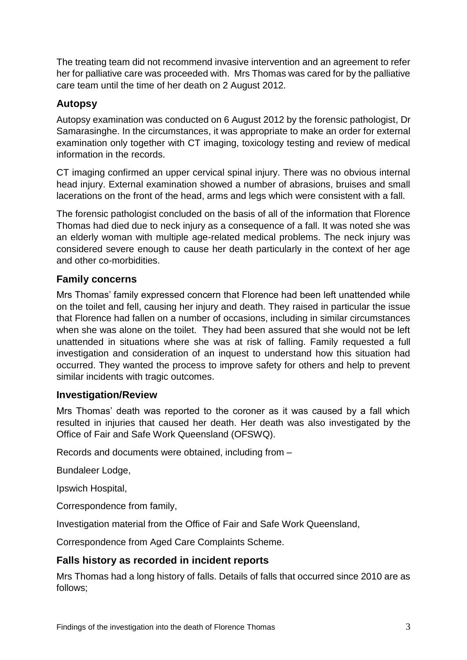The treating team did not recommend invasive intervention and an agreement to refer her for palliative care was proceeded with. Mrs Thomas was cared for by the palliative care team until the time of her death on 2 August 2012.

# **Autopsy**

Autopsy examination was conducted on 6 August 2012 by the forensic pathologist, Dr Samarasinghe. In the circumstances, it was appropriate to make an order for external examination only together with CT imaging, toxicology testing and review of medical information in the records.

CT imaging confirmed an upper cervical spinal injury. There was no obvious internal head injury. External examination showed a number of abrasions, bruises and small lacerations on the front of the head, arms and legs which were consistent with a fall.

The forensic pathologist concluded on the basis of all of the information that Florence Thomas had died due to neck injury as a consequence of a fall. It was noted she was an elderly woman with multiple age-related medical problems. The neck injury was considered severe enough to cause her death particularly in the context of her age and other co-morbidities.

## **Family concerns**

Mrs Thomas' family expressed concern that Florence had been left unattended while on the toilet and fell, causing her injury and death. They raised in particular the issue that Florence had fallen on a number of occasions, including in similar circumstances when she was alone on the toilet. They had been assured that she would not be left unattended in situations where she was at risk of falling. Family requested a full investigation and consideration of an inquest to understand how this situation had occurred. They wanted the process to improve safety for others and help to prevent similar incidents with tragic outcomes.

## **Investigation/Review**

Mrs Thomas' death was reported to the coroner as it was caused by a fall which resulted in injuries that caused her death. Her death was also investigated by the Office of Fair and Safe Work Queensland (OFSWQ).

Records and documents were obtained, including from –

Bundaleer Lodge,

Ipswich Hospital,

Correspondence from family,

Investigation material from the Office of Fair and Safe Work Queensland,

Correspondence from Aged Care Complaints Scheme.

# **Falls history as recorded in incident reports**

Mrs Thomas had a long history of falls. Details of falls that occurred since 2010 are as follows;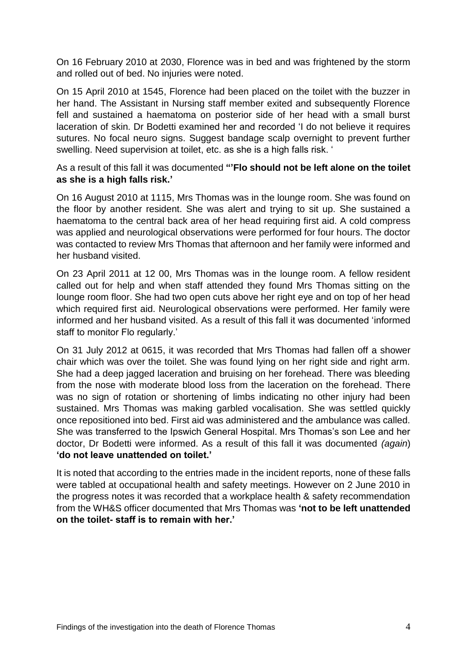On 16 February 2010 at 2030, Florence was in bed and was frightened by the storm and rolled out of bed. No injuries were noted.

On 15 April 2010 at 1545, Florence had been placed on the toilet with the buzzer in her hand. The Assistant in Nursing staff member exited and subsequently Florence fell and sustained a haematoma on posterior side of her head with a small burst laceration of skin. Dr Bodetti examined her and recorded 'I do not believe it requires sutures. No focal neuro signs. Suggest bandage scalp overnight to prevent further swelling. Need supervision at toilet, etc. as she is a high falls risk. '

As a result of this fall it was documented **"'Flo should not be left alone on the toilet as she is a high falls risk.'**

On 16 August 2010 at 1115, Mrs Thomas was in the lounge room. She was found on the floor by another resident. She was alert and trying to sit up. She sustained a haematoma to the central back area of her head requiring first aid. A cold compress was applied and neurological observations were performed for four hours. The doctor was contacted to review Mrs Thomas that afternoon and her family were informed and her husband visited.

On 23 April 2011 at 12 00, Mrs Thomas was in the lounge room. A fellow resident called out for help and when staff attended they found Mrs Thomas sitting on the lounge room floor. She had two open cuts above her right eye and on top of her head which required first aid. Neurological observations were performed. Her family were informed and her husband visited. As a result of this fall it was documented 'informed staff to monitor Flo regularly.'

On 31 July 2012 at 0615, it was recorded that Mrs Thomas had fallen off a shower chair which was over the toilet. She was found lying on her right side and right arm. She had a deep jagged laceration and bruising on her forehead. There was bleeding from the nose with moderate blood loss from the laceration on the forehead. There was no sign of rotation or shortening of limbs indicating no other injury had been sustained. Mrs Thomas was making garbled vocalisation. She was settled quickly once repositioned into bed. First aid was administered and the ambulance was called. She was transferred to the Ipswich General Hospital. Mrs Thomas's son Lee and her doctor, Dr Bodetti were informed. As a result of this fall it was documented *(again*) **'do not leave unattended on toilet.'**

It is noted that according to the entries made in the incident reports, none of these falls were tabled at occupational health and safety meetings. However on 2 June 2010 in the progress notes it was recorded that a workplace health & safety recommendation from the WH&S officer documented that Mrs Thomas was **'not to be left unattended on the toilet- staff is to remain with her.'**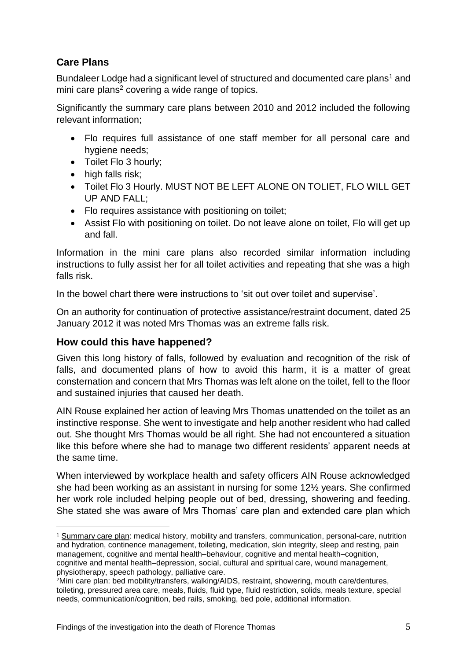# **Care Plans**

Bundaleer Lodge had a significant level of structured and documented care plans<sup>1</sup> and mini care plans<sup>2</sup> covering a wide range of topics.

Significantly the summary care plans between 2010 and 2012 included the following relevant information;

- Flo requires full assistance of one staff member for all personal care and hygiene needs;
- Toilet Flo 3 hourly:
- high falls risk:
- Toilet Flo 3 Hourly. MUST NOT BE LEFT ALONE ON TOLIET, FLO WILL GET UP AND FALL;
- Flo requires assistance with positioning on toilet;
- Assist Flo with positioning on toilet. Do not leave alone on toilet, Flo will get up and fall.

Information in the mini care plans also recorded similar information including instructions to fully assist her for all toilet activities and repeating that she was a high falls risk.

In the bowel chart there were instructions to 'sit out over toilet and supervise'.

On an authority for continuation of protective assistance/restraint document, dated 25 January 2012 it was noted Mrs Thomas was an extreme falls risk.

## **How could this have happened?**

1

Given this long history of falls, followed by evaluation and recognition of the risk of falls, and documented plans of how to avoid this harm, it is a matter of great consternation and concern that Mrs Thomas was left alone on the toilet, fell to the floor and sustained injuries that caused her death.

AIN Rouse explained her action of leaving Mrs Thomas unattended on the toilet as an instinctive response. She went to investigate and help another resident who had called out. She thought Mrs Thomas would be all right. She had not encountered a situation like this before where she had to manage two different residents' apparent needs at the same time.

When interviewed by workplace health and safety officers AIN Rouse acknowledged she had been working as an assistant in nursing for some 12½ years. She confirmed her work role included helping people out of bed, dressing, showering and feeding. She stated she was aware of Mrs Thomas' care plan and extended care plan which

<sup>1</sup> Summary care plan: medical history, mobility and transfers, communication, personal-care, nutrition and hydration, continence management, toileting, medication, skin integrity, sleep and resting, pain management, cognitive and mental health–behaviour, cognitive and mental health–cognition, cognitive and mental health–depression, social, cultural and spiritual care, wound management, physiotherapy, speech pathology, palliative care.

<sup>2</sup>Mini care plan: bed mobility/transfers, walking/AIDS, restraint, showering, mouth care/dentures, toileting, pressured area care, meals, fluids, fluid type, fluid restriction, solids, meals texture, special needs, communication/cognition, bed rails, smoking, bed pole, additional information.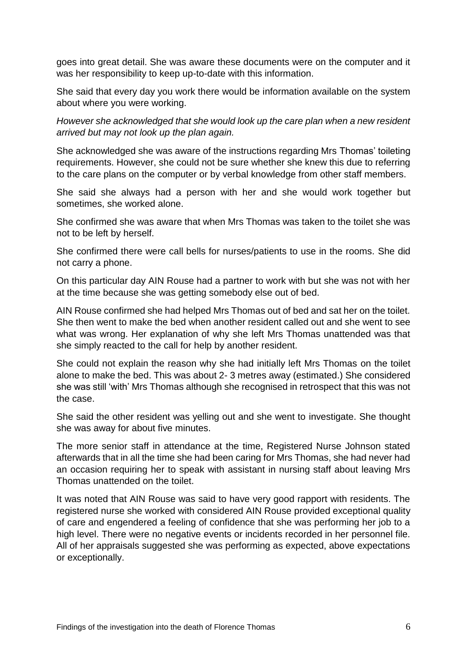goes into great detail. She was aware these documents were on the computer and it was her responsibility to keep up-to-date with this information.

She said that every day you work there would be information available on the system about where you were working.

*However she acknowledged that she would look up the care plan when a new resident arrived but may not look up the plan again.*

She acknowledged she was aware of the instructions regarding Mrs Thomas' toileting requirements. However, she could not be sure whether she knew this due to referring to the care plans on the computer or by verbal knowledge from other staff members.

She said she always had a person with her and she would work together but sometimes, she worked alone.

She confirmed she was aware that when Mrs Thomas was taken to the toilet she was not to be left by herself.

She confirmed there were call bells for nurses/patients to use in the rooms. She did not carry a phone.

On this particular day AIN Rouse had a partner to work with but she was not with her at the time because she was getting somebody else out of bed.

AIN Rouse confirmed she had helped Mrs Thomas out of bed and sat her on the toilet. She then went to make the bed when another resident called out and she went to see what was wrong. Her explanation of why she left Mrs Thomas unattended was that she simply reacted to the call for help by another resident.

She could not explain the reason why she had initially left Mrs Thomas on the toilet alone to make the bed. This was about 2- 3 metres away (estimated.) She considered she was still 'with' Mrs Thomas although she recognised in retrospect that this was not the case.

She said the other resident was yelling out and she went to investigate. She thought she was away for about five minutes.

The more senior staff in attendance at the time, Registered Nurse Johnson stated afterwards that in all the time she had been caring for Mrs Thomas, she had never had an occasion requiring her to speak with assistant in nursing staff about leaving Mrs Thomas unattended on the toilet.

It was noted that AIN Rouse was said to have very good rapport with residents. The registered nurse she worked with considered AIN Rouse provided exceptional quality of care and engendered a feeling of confidence that she was performing her job to a high level. There were no negative events or incidents recorded in her personnel file. All of her appraisals suggested she was performing as expected, above expectations or exceptionally.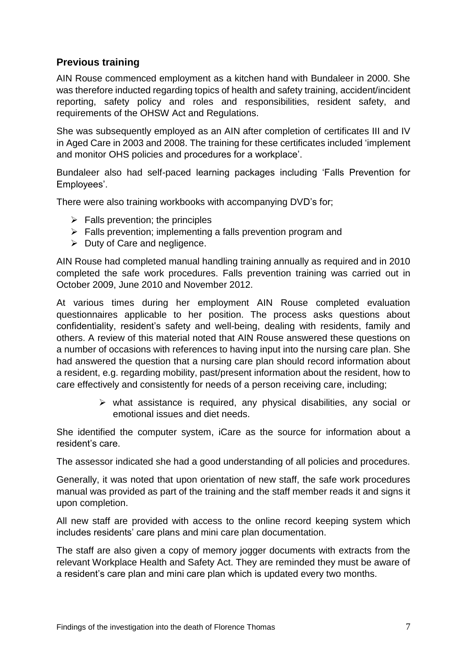## **Previous training**

AIN Rouse commenced employment as a kitchen hand with Bundaleer in 2000. She was therefore inducted regarding topics of health and safety training, accident/incident reporting, safety policy and roles and responsibilities, resident safety, and requirements of the OHSW Act and Regulations.

She was subsequently employed as an AIN after completion of certificates III and IV in Aged Care in 2003 and 2008. The training for these certificates included 'implement and monitor OHS policies and procedures for a workplace'.

Bundaleer also had self-paced learning packages including 'Falls Prevention for Employees'.

There were also training workbooks with accompanying DVD's for;

- $\triangleright$  Falls prevention; the principles
- $\triangleright$  Falls prevention; implementing a falls prevention program and
- $\triangleright$  Duty of Care and negligence.

AIN Rouse had completed manual handling training annually as required and in 2010 completed the safe work procedures. Falls prevention training was carried out in October 2009, June 2010 and November 2012.

At various times during her employment AIN Rouse completed evaluation questionnaires applicable to her position. The process asks questions about confidentiality, resident's safety and well-being, dealing with residents, family and others. A review of this material noted that AIN Rouse answered these questions on a number of occasions with references to having input into the nursing care plan. She had answered the question that a nursing care plan should record information about a resident, e.g. regarding mobility, past/present information about the resident, how to care effectively and consistently for needs of a person receiving care, including;

> $\triangleright$  what assistance is required, any physical disabilities, any social or emotional issues and diet needs.

She identified the computer system, iCare as the source for information about a resident's care.

The assessor indicated she had a good understanding of all policies and procedures.

Generally, it was noted that upon orientation of new staff, the safe work procedures manual was provided as part of the training and the staff member reads it and signs it upon completion.

All new staff are provided with access to the online record keeping system which includes residents' care plans and mini care plan documentation.

The staff are also given a copy of memory jogger documents with extracts from the relevant Workplace Health and Safety Act. They are reminded they must be aware of a resident's care plan and mini care plan which is updated every two months.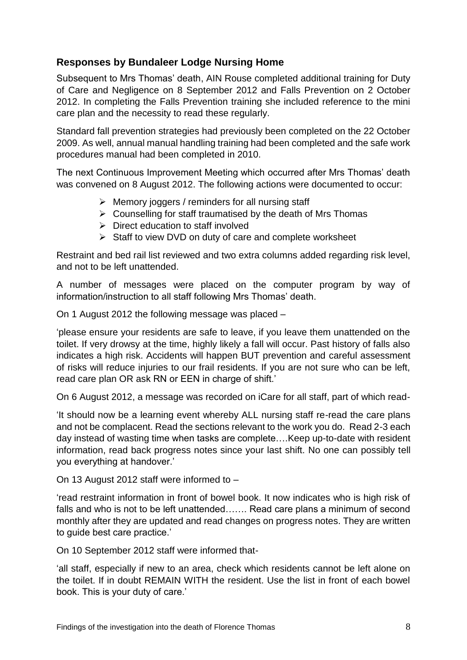## **Responses by Bundaleer Lodge Nursing Home**

Subsequent to Mrs Thomas' death, AIN Rouse completed additional training for Duty of Care and Negligence on 8 September 2012 and Falls Prevention on 2 October 2012. In completing the Falls Prevention training she included reference to the mini care plan and the necessity to read these regularly.

Standard fall prevention strategies had previously been completed on the 22 October 2009. As well, annual manual handling training had been completed and the safe work procedures manual had been completed in 2010.

The next Continuous Improvement Meeting which occurred after Mrs Thomas' death was convened on 8 August 2012. The following actions were documented to occur:

- $\triangleright$  Memory joggers / reminders for all nursing staff
- $\triangleright$  Counselling for staff traumatised by the death of Mrs Thomas
- $\triangleright$  Direct education to staff involved
- $\triangleright$  Staff to view DVD on duty of care and complete worksheet

Restraint and bed rail list reviewed and two extra columns added regarding risk level, and not to be left unattended.

A number of messages were placed on the computer program by way of information/instruction to all staff following Mrs Thomas' death.

On 1 August 2012 the following message was placed –

'please ensure your residents are safe to leave, if you leave them unattended on the toilet. If very drowsy at the time, highly likely a fall will occur. Past history of falls also indicates a high risk. Accidents will happen BUT prevention and careful assessment of risks will reduce injuries to our frail residents. If you are not sure who can be left, read care plan OR ask RN or EEN in charge of shift.'

On 6 August 2012, a message was recorded on iCare for all staff, part of which read-

'It should now be a learning event whereby ALL nursing staff re-read the care plans and not be complacent. Read the sections relevant to the work you do. Read 2-3 each day instead of wasting time when tasks are complete….Keep up-to-date with resident information, read back progress notes since your last shift. No one can possibly tell you everything at handover.'

On 13 August 2012 staff were informed to –

'read restraint information in front of bowel book. It now indicates who is high risk of falls and who is not to be left unattended……. Read care plans a minimum of second monthly after they are updated and read changes on progress notes. They are written to guide best care practice.'

On 10 September 2012 staff were informed that-

'all staff, especially if new to an area, check which residents cannot be left alone on the toilet. If in doubt REMAIN WITH the resident. Use the list in front of each bowel book. This is your duty of care.'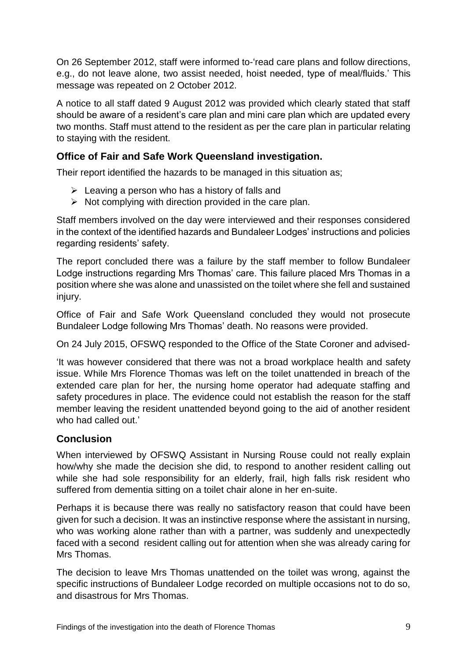On 26 September 2012, staff were informed to-'read care plans and follow directions, e.g., do not leave alone, two assist needed, hoist needed, type of meal/fluids.' This message was repeated on 2 October 2012.

A notice to all staff dated 9 August 2012 was provided which clearly stated that staff should be aware of a resident's care plan and mini care plan which are updated every two months. Staff must attend to the resident as per the care plan in particular relating to staying with the resident.

## **Office of Fair and Safe Work Queensland investigation.**

Their report identified the hazards to be managed in this situation as;

- $\triangleright$  Leaving a person who has a history of falls and
- $\triangleright$  Not complying with direction provided in the care plan.

Staff members involved on the day were interviewed and their responses considered in the context of the identified hazards and Bundaleer Lodges' instructions and policies regarding residents' safety.

The report concluded there was a failure by the staff member to follow Bundaleer Lodge instructions regarding Mrs Thomas' care. This failure placed Mrs Thomas in a position where she was alone and unassisted on the toilet where she fell and sustained injury.

Office of Fair and Safe Work Queensland concluded they would not prosecute Bundaleer Lodge following Mrs Thomas' death. No reasons were provided.

On 24 July 2015, OFSWQ responded to the Office of the State Coroner and advised-

'It was however considered that there was not a broad workplace health and safety issue. While Mrs Florence Thomas was left on the toilet unattended in breach of the extended care plan for her, the nursing home operator had adequate staffing and safety procedures in place. The evidence could not establish the reason for the staff member leaving the resident unattended beyond going to the aid of another resident who had called out.'

## **Conclusion**

When interviewed by OFSWQ Assistant in Nursing Rouse could not really explain how/why she made the decision she did, to respond to another resident calling out while she had sole responsibility for an elderly, frail, high falls risk resident who suffered from dementia sitting on a toilet chair alone in her en-suite.

Perhaps it is because there was really no satisfactory reason that could have been given for such a decision. It was an instinctive response where the assistant in nursing, who was working alone rather than with a partner, was suddenly and unexpectedly faced with a second resident calling out for attention when she was already caring for Mrs Thomas.

The decision to leave Mrs Thomas unattended on the toilet was wrong, against the specific instructions of Bundaleer Lodge recorded on multiple occasions not to do so, and disastrous for Mrs Thomas.